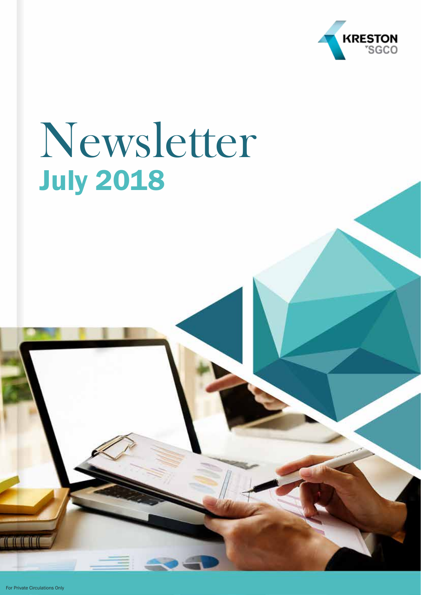

# Newsletter July 2018

For Private Circulations Only

TICICIO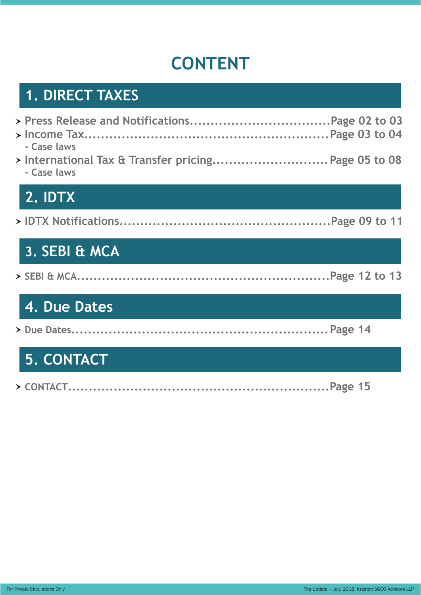# **CONTENT**

## **1. DIRECT TAXES**

| - Case laws<br>> International Tax & Transfer pricing Page 05 to 08<br>- Case laws | <b>12. IDTX</b> |  |  |
|------------------------------------------------------------------------------------|-----------------|--|--|
|                                                                                    |                 |  |  |
|                                                                                    |                 |  |  |

|--|--|--|--|--|--|--|

## **3. SEBI & MCA**

### **4. Due Dates**

|--|--|--|--|

## **5. CONTACT**

|--|--|--|--|--|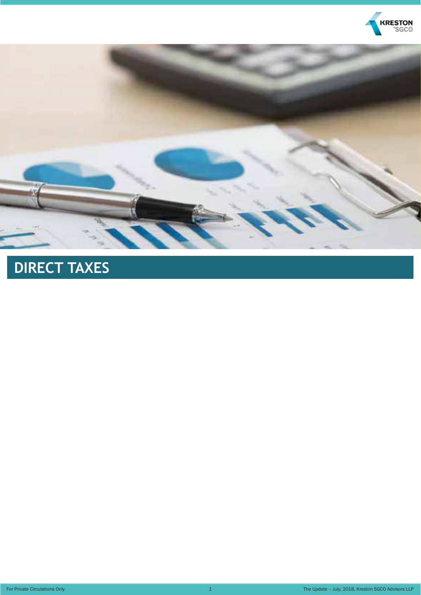



# **DIRECT TAXES**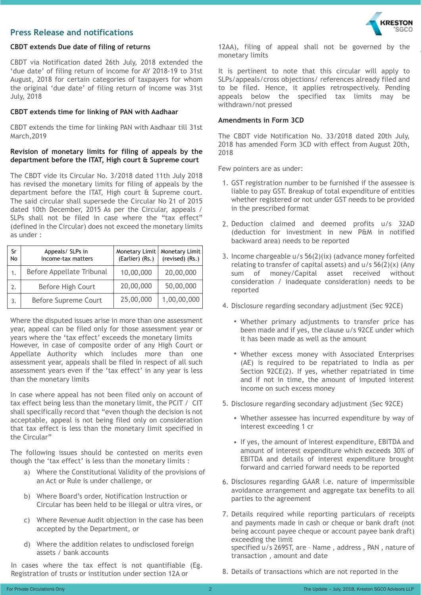#### **Press Release and notifications**



CBDT via Notification dated 26th July, 2018 extended the 'due date' of filing return of income for AY 2018-19 to 31st August, 2018 for certain categories of taxpayers for whom the original 'due date' of filing return of income was 31st July, 2018

#### **CBDT extends time for linking of PAN with Aadhaar**

CBDT extends the time for linking PAN with Aadhaar till 31st March,2019

#### **Revision of monetary limits for filing of appeals by the department before the ITAT, High court & Supreme court**

The CBDT vide its Circular No. 3/2018 dated 11th July 2018 has revised the monetary limits for filing of appeals by the department before the ITAT, High court & Supreme court. The said circular shall supersede the Circular No 21 of 2015 dated 10th December, 2015 As per the Circular, appeals / SLPs shall not be filed in case where the "tax effect" (defined in the Circular) does not exceed the monetary limits as under :

| Sr<br>N <sub>o</sub> | Appeals/ SLPs in<br>Income-tax matters | (Earlier) (Rs.) | Monetary Limit   Monetary Limit<br>(revised) (Rs.) |
|----------------------|----------------------------------------|-----------------|----------------------------------------------------|
| 1.                   | Before Appellate Tribunal              | 10,00,000       | 20,00,000                                          |
| 2.                   | Before High Court                      | 20,00,000       | 50,00,000                                          |
| 3.                   | <b>Before Supreme Court</b>            | 25,00,000       | 1,00,00,000                                        |

Where the disputed issues arise in more than one assessment year, appeal can be filed only for those assessment year or years where the 'tax effect' exceeds the monetary limits However, in case of composite order of any High Court or Appellate Authority which includes more than one assessment year, appeals shall be filed in respect of all such assessment years even if the 'tax effect' in any year is less than the monetary limits

In case where appeal has not been filed only on account of tax effect being less than the monetary limit, the PCIT / CIT shall specifically record that "even though the decision is not acceptable, appeal is not being filed only on consideration that tax effect is less than the monetary limit specified in the Circular"

The following issues should be contested on merits even though the 'tax effect' is less than the monetary limits :

- a) Where the Constitutional Validity of the provisions of an Act or Rule is under challenge, or
- b) Where Board's order, Notification Instruction or Circular has been held to be illegal or ultra vires, or
- c) Where Revenue Audit objection in the case has been accepted by the Department, or
- d) Where the addition relates to undisclosed foreign assets / bank accounts

In cases where the tax effect is not quantifiable (Eg. Registration of trusts or institution under section 12A or



12AA), filing of appeal shall not be governed by the monetary limits

It is pertinent to note that this circular will apply to SLPs/appeals/cross objections/ references already filed and to be filed. Hence, it applies retrospectively. Pending appeals below the specified tax limits may be withdrawn/not pressed

#### **Amendments in Form 3CD**

The CBDT vide Notification No. 33/2018 dated 20th July, 2018 has amended Form 3CD with effect from August 20th, 2018

Few pointers are as under:

- 1. GST registration number to be furnished if the assessee is liable to pay GST. Breakup of total expenditure of entities whether registered or not under GST needs to be provided in the prescribed format
- 2. Deduction claimed and deemed profits u/s 32AD (deduction for investment in new P&M in notified backward area) needs to be reported
- 3. Income chargeable u/s 56(2)(ix) (advance money forfeited relating to transfer of capital assets) and u/s 56(2)(x) (Any sum of money/Capital asset received without consideration / inadequate consideration) needs to be reported
- 4. Disclosure regarding secondary adjustment (Sec 92CE)
	- Whether primary adjustments to transfer price has been made and if yes, the clause u/s 92CE under which it has been made as well as the amount
	- Whether excess money with Associated Enterprises (AE) is required to be repatriated to India as per Section 92CE(2). If yes, whether repatriated in time and if not in time, the amount of imputed interest income on such excess money
- 5. Disclosure regarding secondary adjustment (Sec 92CE)
	- Whether assessee has incurred expenditure by way of interest exceeding 1 cr
	- If yes, the amount of interest expenditure, EBITDA and amount of interest expenditure which exceeds 30% of EBITDA and details of interest expenditure brought forward and carried forward needs to be reported
- 6. Disclosures regarding GAAR i.e. nature of impermissible avoidance arrangement and aggregate tax benefits to all parties to the agreement
- 7. Details required while reporting particulars of receipts and payments made in cash or cheque or bank draft (not being account payee cheque or account payee bank draft) exceeding the limit specified u/s 269ST, are – Name , address , PAN , nature of transaction , amount and date
- 8. Details of transactions which are not reported in the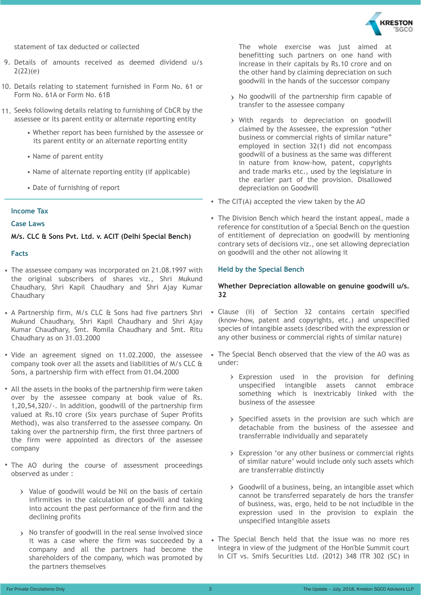

statement of tax deducted or collected

- 9. Details of amounts received as deemed dividend u/s 2(22)(e)
- 10. Details relating to statement furnished in Form No. 61 or Form No. 61A or Form No. 61B
- 11. Seeks following details relating to furnishing of CbCR by the assessee or its parent entity or alternate reporting entity
	- Whether report has been furnished by the assessee or its parent entity or an alternate reporting entity
	- Name of parent entity
	- Name of alternate reporting entity (if applicable)
	- Date of furnishing of report

#### **Income Tax**

#### **Case Laws**

**M/s. CLC & Sons Pvt. Ltd. v. ACIT (Delhi Special Bench)**

#### **Facts**

- The assessee company was incorporated on 21.08.1997 with the original subscribers of shares viz., Shri Mukund Chaudhary, Shri Kapil Chaudhary and Shri Ajay Kumar Chaudhary
- A Partnership firm, M/s CLC & Sons had five partners Shri Mukund Chaudhary, Shri Kapil Chaudhary and Shri Ajay Kumar Chaudhary, Smt. Romila Chaudhary and Smt. Ritu Chaudhary as on 31.03.2000
- Vide an agreement signed on 11.02.2000, the assessee company took over all the assets and liabilities of M/s CLC & Sons, a partnership firm with effect from 01.04.2000
- All the assets in the books of the partnership firm were taken over by the assessee company at book value of Rs. 1,20,54,320/-. In addition, goodwill of the partnership firm valued at Rs.10 crore (Six years purchase of Super Profits Method), was also transferred to the assessee company. On taking over the partnership firm, the first three partners of the firm were appointed as directors of the assessee company
- The AO during the course of assessment proceedings observed as under :
	- $\rightarrow$  Value of goodwill would be Nil on the basis of certain infirmities in the calculation of goodwill and taking into account the past performance of the firm and the declining profits
	- > No transfer of goodwill in the real sense involved since it was a case where the firm was succeeded by a company and all the partners had become the shareholders of the company, which was promoted by the partners themselves

The whole exercise was just aimed at benefitting such partners on one hand with increase in their capitals by Rs.10 crore and on the other hand by claiming depreciation on such goodwill in the hands of the successor company

- > No goodwill of the partnership firm capable of transfer to the assessee company
- With regards to depreciation on goodwill claimed by the Assessee, the expression "other business or commercial rights of similar nature" employed in section 32(1) did not encompass goodwill of a business as the same was different in nature from know-how, patent, copyrights and trade marks etc., used by the legislature in the earlier part of the provision. Disallowed depreciation on Goodwill
- The CIT(A) accepted the view taken by the AO
- The Division Bench which heard the instant appeal, made a reference for constitution of a Special Bench on the question of entitlement of depreciation on goodwill by mentioning contrary sets of decisions viz., one set allowing depreciation on goodwill and the other not allowing it

#### **Held by the Special Bench**

#### **Whether Depreciation allowable on genuine goodwill u/s. 32**

- Clause (ii) of Section 32 contains certain specified (know-how, patent and copyrights, etc.) and unspecified species of intangible assets (described with the expression or any other business or commercial rights of similar nature)
- The Special Bench observed that the view of the AO was as under:
	- Expression used in the provision for defining unspecified intangible assets cannot embrace something which is inextricably linked with the business of the assessee
	- $\rightarrow$  Specified assets in the provision are such which are detachable from the business of the assessee and transferrable individually and separately
	- Expression 'or any other business or commercial rights of similar nature' would include only such assets which are transferrable distinctly
	- Goodwill of a business, being, an intangible asset which cannot be transferred separately de hors the transfer of business, was, ergo, held to be not includible in the expression used in the provision to explain the unspecified intangible assets
- The Special Bench held that the issue was no more res integra in view of the judgment of the Hon'ble Summit court in CIT vs. Smifs Securities Ltd. (2012) 348 ITR 302 (SC) in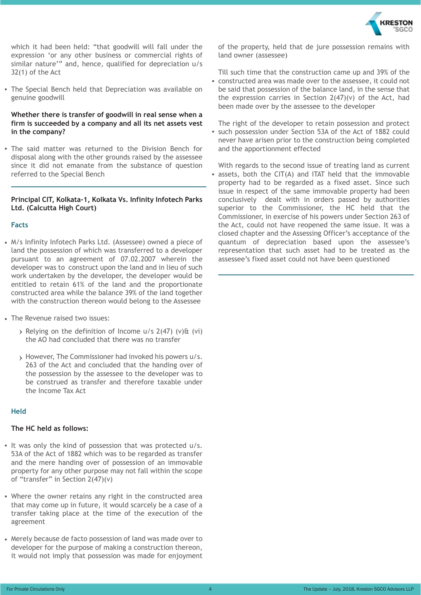

which it had been held: "that goodwill will fall under the expression 'or any other business or commercial rights of similar nature'" and, hence, qualified for depreciation u/s 32(1) of the Act

The Special Bench held that Depreciation was available on genuine goodwill

#### **Whether there is transfer of goodwill in real sense when a firm is succeeded by a company and all its net assets vest in the company?**

The said matter was returned to the Division Bench for disposal along with the other grounds raised by the assessee since it did not emanate from the substance of question referred to the Special Bench

#### **Principal CIT, Kolkata-1, Kolkata Vs. Infinity Infotech Parks Ltd. (Calcutta High Court)**

#### **Facts**

- M/s Infinity Infotech Parks Ltd. (Assessee) owned a piece of land the possession of which was transferred to a developer pursuant to an agreement of 07.02.2007 wherein the developer was to construct upon the land and in lieu of such work undertaken by the developer, the developer would be entitled to retain 61% of the land and the proportionate constructed area while the balance 39% of the land together with the construction thereon would belong to the Assessee
- The Revenue raised two issues:
	- $\rightarrow$  Relying on the definition of Income u/s 2(47) (v)& (vi) the AO had concluded that there was no transfer
	- However, The Commissioner had invoked his powers u/s. 263 of the Act and concluded that the handing over of the possession by the assessee to the developer was to be construed as transfer and therefore taxable under the Income Tax Act

#### **Held**

#### **The HC held as follows:**

- It was only the kind of possession that was protected u/s. 53A of the Act of 1882 which was to be regarded as transfer and the mere handing over of possession of an immovable property for any other purpose may not fall within the scope of "transfer" in Section 2(47)(v)
- Where the owner retains any right in the constructed area that may come up in future, it would scarcely be a case of a transfer taking place at the time of the execution of the agreement
- Merely because de facto possession of land was made over to developer for the purpose of making a construction thereon, it would not imply that possession was made for enjoyment

of the property, held that de jure possession remains with land owner (assessee)

Till such time that the construction came up and 39% of the

constructed area was made over to the assessee, it could not be said that possession of the balance land, in the sense that the expression carries in Section 2(47)(v) of the Act, had been made over by the assessee to the developer

The right of the developer to retain possession and protect such possession under Section 53A of the Act of 1882 could never have arisen prior to the construction being completed and the apportionment effected

With regards to the second issue of treating land as current assets, both the CIT(A) and ITAT held that the immovable property had to be regarded as a fixed asset. Since such issue in respect of the same immovable property had been conclusively dealt with in orders passed by authorities superior to the Commissioner, the HC held that the Commissioner, in exercise of his powers under Section 263 of the Act, could not have reopened the same issue. It was a closed chapter and the Assessing Officer's acceptance of the quantum of depreciation based upon the assessee's representation that such asset had to be treated as the assessee's fixed asset could not have been questioned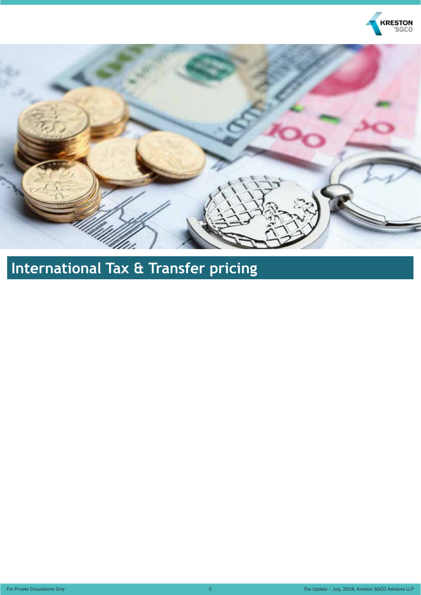



# **International Tax & Transfer pricing**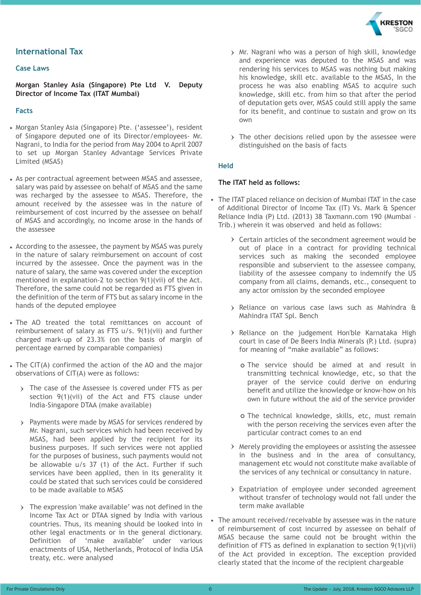

#### **International Tax**

#### **Case Laws**

**Morgan Stanley Asia (Singapore) Pte Ltd V. Deputy Director of Income Tax (ITAT Mumbai)**

#### **Facts**

- Morgan Stanley Asia (Singapore) Pte. ('assessee'), resident of Singapore deputed one of its Director/employees- Mr. Nagrani, to India for the period from May 2004 to April 2007 to set up Morgan Stanley Advantage Services Private Limited (MSAS)
- As per contractual agreement between MSAS and assessee, salary was paid by assessee on behalf of MSAS and the same was recharged by the assessee to MSAS. Therefore, the amount received by the assessee was in the nature of reimbursement of cost incurred by the assessee on behalf of MSAS and accordingly, no income arose in the hands of the assessee
- According to the assessee, the payment by MSAS was purely in the nature of salary reimbursement on account of cost incurred by the assessee. Once the payment was in the nature of salary, the same was covered under the exception mentioned in explanation-2 to section 9(1)(vii) of the Act. Therefore, the same could not be regarded as FTS given in the definition of the term of FTS but as salary income in the hands of the deputed employee
- The AO treated the total remittances on account of reimbursement of salary as FTS u/s. 9(1)(vii) and further charged mark-up of 23.3% (on the basis of margin of percentage earned by comparable companies)
- The CIT(A) confirmed the action of the AO and the major observations of CIT(A) were as follows:
	- > The case of the Assessee is covered under FTS as per section 9(1)(vii) of the Act and FTS clause under India-Singapore DTAA (make available)
	- Payments were made by MSAS for services rendered by Mr. Nagrani, such services which had been received by MSAS, had been applied by the recipient for its business purposes. If such services were not applied for the purposes of business, such payments would not be allowable u/s 37 (1) of the Act. Further if such services have been applied, then in its generality it could be stated that such services could be considered to be made available to MSAS
	- The expression 'make available' was not defined in the Income Tax Act or DTAA signed by India with various countries. Thus, its meaning should be looked into in other legal enactments or in the general dictionary. Definition of 'make available' under various enactments of USA, Netherlands, Protocol of India USA treaty, etc. were analysed
- Mr. Nagrani who was a person of high skill, knowledge and experience was deputed to the MSAS and was rendering his services to MSAS was nothing but making his knowledge, skill etc. available to the MSAS, In the process he was also enabling MSAS to acquire such knowledge, skill etc. from him so that after the period of deputation gets over, MSAS could still apply the same for its benefit, and continue to sustain and grow on its own
- > The other decisions relied upon by the assessee were distinguished on the basis of facts

#### **Held**

#### **The ITAT held as follows:**

- The ITAT placed reliance on decision of Mumbai ITAT in the case of Additional Director of Income Tax (IT) Vs. Mark & Spencer Reliance India (P) Ltd. (2013) 38 Taxmann.com 190 (Mumbai – Trib.) wherein it was observed and held as follows:
	- $\rightarrow$  Certain articles of the secondment agreement would be out of place in a contract for providing technical services such as making the seconded employee responsible and subservient to the assessee company, liability of the assessee company to indemnify the US company from all claims, demands, etc., consequent to any actor omission by the seconded employee
	- Reliance on various case laws such as Mahindra & Mahindra ITAT Spl. Bench
	- $\triangleright$  Reliance on the judgement Hon'ble Karnataka High court in case of De Beers India Minerals (P.) Ltd. (supra) for meaning of "make available" as follows:
		- The service should be aimed at and result in transmitting technical knowledge, etc, so that the prayer of the service could derive on enduring benefit and utilize the knowledge or know-how on his own in future without the aid of the service provider
		- The technical knowledge, skills, etc, must remain with the person receiving the services even after the particular contract comes to an end
	- $\rightarrow$  Merely providing the employees or assisting the assessee in the business and in the area of consultancy, management etc would not constitute make available of the services of any technical or consultancy in nature.
	- Expatriation of employee under seconded agreement without transfer of technology would not fall under the term make available
- The amount received/receivable by assessee was in the nature of reimbursement of cost incurred by assessee on behalf of MSAS because the same could not be brought within the definition of FTS as defined in explanation to section 9(1)(vii) of the Act provided in exception. The exception provided clearly stated that the income of the recipient chargeable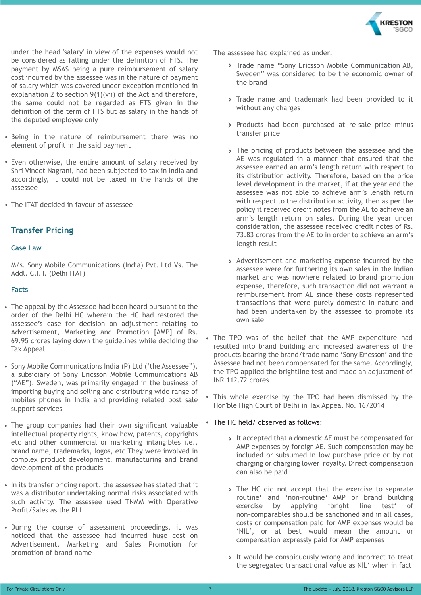

under the head 'salary' in view of the expenses would not be considered as falling under the definition of FTS. The payment by MSAS being a pure reimbursement of salary cost incurred by the assessee was in the nature of payment of salary which was covered under exception mentioned in explanation 2 to section 9(1)(vii) of the Act and therefore, the same could not be regarded as FTS given in the definition of the term of FTS but as salary in the hands of the deputed employee only

- Being in the nature of reimbursement there was no element of profit in the said payment
- Even otherwise, the entire amount of salary received by Shri Vineet Nagrani, had been subjected to tax in India and accordingly, it could not be taxed in the hands of the assessee
- The ITAT decided in favour of assessee

#### **Transfer Pricing**

#### **Case Law**

M/s. Sony Mobile Communications (India) Pvt. Ltd Vs. The Addl. C.I.T. (Delhi ITAT)

#### **Facts**

- The appeal by the Assessee had been heard pursuant to the order of the Delhi HC wherein the HC had restored the assessee's case for decision on adjustment relating to Advertisement, Marketing and Promotion [AMP] of Rs. 69.95 crores laying down the guidelines while deciding the Tax Appeal
- Sony Mobile Communications India (P) Ltd ('the Assessee"), a subsidiary of Sony Ericsson Mobile Communications AB ("AE"), Sweden, was primarily engaged in the business of importing buying and selling and distributing wide range of mobiles phones in India and providing related post sale support services
- The group companies had their own significant valuable intellectual property rights, know how, patents, copyrights etc and other commercial or marketing intangibles i.e., brand name, trademarks, logos, etc They were involved in complex product development, manufacturing and brand development of the products
- In its transfer pricing report, the assessee has stated that it was a distributor undertaking normal risks associated with such activity. The assessee used TNMM with Operative Profit/Sales as the PLI
- During the course of assessment proceedings, it was noticed that the assessee had incurred huge cost on Advertisement, Marketing and Sales Promotion for promotion of brand name

The assessee had explained as under:

- > Trade name "Sony Ericsson Mobile Communication AB, Sweden" was considered to be the economic owner of the brand
- > Trade name and trademark had been provided to it without any charges
- Products had been purchased at re-sale price minus transfer price
- > The pricing of products between the assessee and the AE was regulated in a manner that ensured that the assessee earned an arm's length return with respect to its distribution activity. Therefore, based on the price level development in the market, if at the year end the assessee was not able to achieve arm's length return with respect to the distribution activity, then as per the policy it received credit notes from the AE to achieve an arm's length return on sales. During the year under consideration, the assessee received credit notes of Rs. 73.83 crores from the AE to in order to achieve an arm's length result
- Advertisement and marketing expense incurred by the assessee were for furthering its own sales in the Indian market and was nowhere related to brand promotion expense, therefore, such transaction did not warrant a reimbursement from AE since these costs represented transactions that were purely domestic in nature and had been undertaken by the assessee to promote its own sale
- The TPO was of the belief that the AMP expenditure had resulted into brand building and increased awareness of the products bearing the brand/trade name 'Sony Ericsson' and the Assessee had not been compensated for the same. Accordingly, the TPO applied the brightline test and made an adjustment of INR 112.72 crores
- This whole exercise by the TPO had been dismissed by the Hon'ble High Court of Delhi in Tax Appeal No. 16/2014
- The HC held/ observed as follows:
	- It accepted that a domestic AE must be compensated for AMP expenses by foreign AE. Such compensation may be included or subsumed in low purchase price or by not charging or charging lower royalty. Direct compensation can also be paid
	- > The HC did not accept that the exercise to separate routine' and 'non-routine' AMP or brand building exercise by applying 'bright line test' of non-comparables should be sanctioned and in all cases, costs or compensation paid for AMP expenses would be 'NIL', or at best would mean the amount or compensation expressly paid for AMP expenses
	- It would be conspicuously wrong and incorrect to treat the segregated transactional value as NIL' when in fact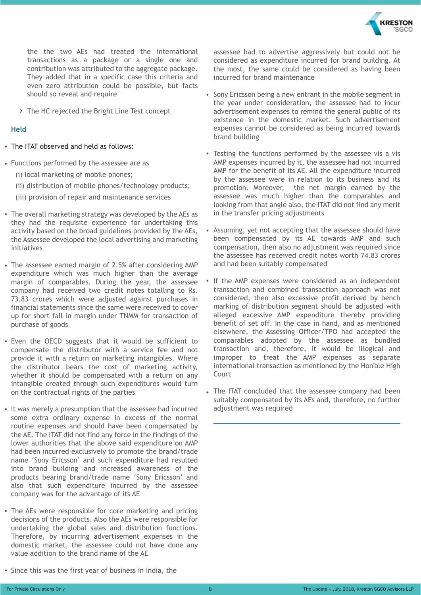

the the two AEs had treated the international transactions as a package or a single one and contribution was attributed to the aggregate package. They added that in a specific case this criteria and even zero attribution could be possible, but facts should so reveal and require

 $\triangleright$  The HC rejected the Bright Line Test concept

#### **Held**

- The ITAT observed and held as follows:
- Functions performed by the assessee are as
	- (i) local marketing of mobile phones;
	- (ii) distribution of mobile phones/technology products;
	- (iii) provision of repair and maintenance services
- The overall marketing strategy was developed by the AEs as they had the requisite experience for undertaking this activity based on the broad guidelines provided by the AEs, the Assessee developed the local advertising and marketing initiatives
- The assessee earned margin of 2.5% after considering AMP expenditure which was much higher than the average margin of comparables. During the year, the assessee company had received two credit notes totalling to Rs. 73.83 crores which were adjusted against purchases in financial statements since the same were received to cover up for short fall in margin under TNMM for transaction of purchase of goods
- Even the OECD suggests that it would be sufficient to compensate the distributor with a service fee and not provide it with a return on marketing intangibles. Where the distributor bears the cost of marketing activity, whether it should be compensated with a return on any intangible created through such expenditures would turn on the contractual rights of the parties
- It was merely a presumption that the assessee had incurred some extra ordinary expense in excess of the normal routine expenses and should have been compensated by the AE. The ITAT did not find any force in the findings of the lower authorities that the above said expenditure on AMP had been incurred exclusively to promote the brand/trade name 'Sony Ericsson' and such expenditure had resulted into brand building and increased awareness of the products bearing brand/trade name 'Sony Ericsson' and also that such expenditure incurred by the assessee company was for the advantage of its AE
- The AEs were responsible for core marketing and pricing decisions of the products. Also the AEs were responsible for undertaking the global sales and distribution functions. Therefore, by incurring advertisement expenses in the domestic market, the assessee could not have done any value addition to the brand name of the AE

assessee had to advertise aggressively but could not be considered as expenditure incurred for brand building. At the most, the same could be considered as having been incurred for brand maintenance

- Sony Ericsson being a new entrant in the mobile segment in the year under consideration, the assessee had to incur advertisement expenses to remind the general public of its existence in the domestic market. Such advertisement expenses cannot be considered as being incurred towards brand building
- Testing the functions performed by the assessee vis a vis AMP expenses incurred by it, the assessee had not incurred AMP for the benefit of its AE. All the expenditure incurred by the assessee were in relation to its business and its promotion. Moreover, the net margin earned by the assessee was much higher than the comparables and looking from that angle also, the ITAT did not find any merit in the transfer pricing adjustments
- Assuming, yet not accepting that the assessee should have been compensated by its AE towards AMP and such compensation, then also no adjustment was required since the assessee has received credit notes worth 74.83 crores and had been suitably compensated
- If the AMP expenses were considered as an independent transaction and combined transaction approach was not considered, then also excessive profit derived by bench marking of distribution segment should be adjusted with alleged excessive AMP expenditure thereby providing benefit of set off. In the case in hand, and as mentioned elsewhere, the Assessing Officer/TPO had accepted the comparables adopted by the assessee as bundled transaction and, therefore, it would be illogical and improper to treat the AMP expenses as separate international transaction as mentioned by the Hon'ble High Court
- The ITAT concluded that the assessee company had been suitably compensated by its AEs and, therefore, no further adjustment was required

• Since this was the first year of business in India, the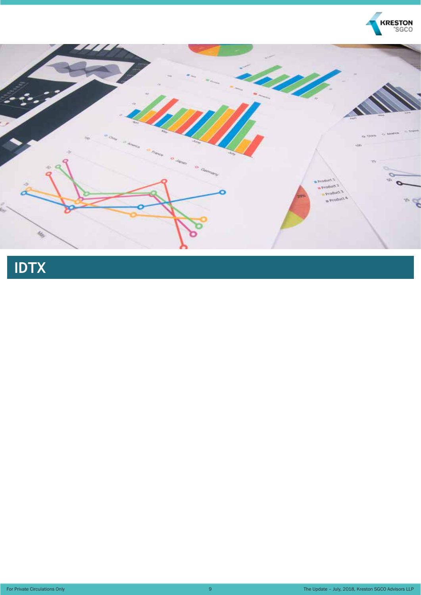



# **IDTX**

For Private Circulations Only 9

The Update – July, 2018, Kreston SGCO Advisors LLP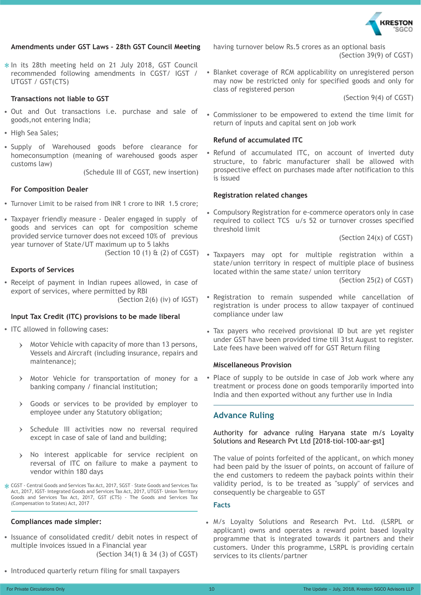

#### **Amendments under GST Laws – 28th GST Council Meeting**

 $*$  In its 28th meeting held on 21 July 2018, GST Council recommended following amendments in CGST/ IGST / UTGST / GST(CTS)

#### **Transactions not liable to GST**

- Out and Out transactions i.e. purchase and sale of goods,not entering India;
- High Sea Sales:
- Supply of Warehoused goods before clearance for homeconsumption (meaning of warehoused goods asper customs law)

(Schedule III of CGST, new insertion)

#### **For Composition Dealer**

- Turnover Limit to be raised from INR 1 crore to INR 1.5 crore;
- Taxpayer friendly measure Dealer engaged in supply of goods and services can opt for composition scheme provided service turnover does not exceed 10% of previous year turnover of State/UT maximum up to 5 lakhs (Section 10 (1) & (2) of CGST)

#### **Exports of Services**

Receipt of payment in Indian rupees allowed, in case of export of services, where permitted by RBI (Section 2(6) (iv) of IGST)

#### **Input Tax Credit (ITC) provisions to be made liberal**

- ITC allowed in following cases:
	- Motor Vehicle with capacity of more than 13 persons,  $\sum$ Vessels and Aircraft (including insurance, repairs and maintenance);
	- Motor Vehicle for transportation of money for a banking company / financial institution;
	- Goods or services to be provided by employer to  $\left( \right)$ employee under any Statutory obligation;
	- > Schedule III activities now no reversal required except in case of sale of land and building;
	- No interest applicable for service recipient on  $\mathbf{v}$ reversal of ITC on failure to make a payment to vendor within 180 days

CGST - Central Goods and Services Tax Act, 2017, SGST – State Goods and Services Tax Act, 2017, IGST- Integrated Goods and Services Tax Act, 2017, UTGST- Union Territory Goods and Services Tax Act, 2017, GST (CTS) - The Goods and Services Tax (Compensation to States) Act, 2017

#### **Compliances made simpler:**

- Issuance of consolidated credit/ debit notes in respect of multiple invoices issued in a Financial year (Section 34(1) & 34 (3) of CGST)
- Introduced quarterly return filing for small taxpayers

having turnover below Rs.5 crores as an optional basis (Section 39(9) of CGST)

• Blanket coverage of RCM applicability on unregistered person may now be restricted only for specified goods and only for class of registered person

(Section 9(4) of CGST)

Commissioner to be empowered to extend the time limit for return of inputs and capital sent on job work

#### **Refund of accumulated ITC**

Refund of accumulated ITC, on account of inverted duty structure, to fabric manufacturer shall be allowed with prospective effect on purchases made after notification to this is issued

#### **Registration related changes**

Compulsory Registration for e-commerce operators only in case required to collect TCS u/s 52 or turnover crosses specified threshold limit

(Section 24(x) of CGST)

Taxpayers may opt for multiple registration within a state/union territory in respect of multiple place of business located within the same state/ union territory

(Section 25(2) of CGST)

- Registration to remain suspended while cancellation of registration is under process to allow taxpayer of continued compliance under law
- Tax payers who received provisional ID but are yet register under GST have been provided time till 31st August to register. Late fees have been waived off for GST Return filing

#### **Miscellaneous Provision**

• Place of supply to be outside in case of Job work where any treatment or process done on goods temporarily imported into India and then exported without any further use in India

#### **Advance Ruling**

Authority for advance ruling Haryana state m/s Loyalty Solutions and Research Pvt Ltd [2018-tiol-100-aar-gst]

The value of points forfeited of the applicant, on which money had been paid by the issuer of points, on account of failure of the end customers to redeem the payback points within their validity period, is to be treated as "supply" of services and consequently be chargeable to GST

#### **Facts**

M/s Loyalty Solutions and Research Pvt. Ltd. (LSRPL or applicant) owns and operates a reward point based loyalty programme that is integrated towards it partners and their customers. Under this programme, LSRPL is providing certain services to its clients/partner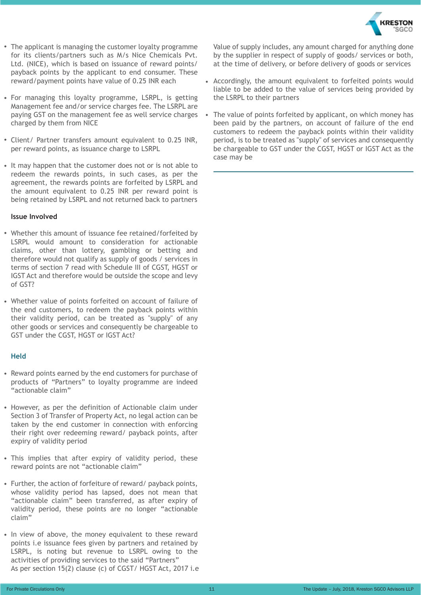

- The applicant is managing the customer loyalty programme for its clients/partners such as M/s Nice Chemicals Pvt. Ltd. (NICE), which is based on issuance of reward points/ payback points by the applicant to end consumer. These reward/payment points have value of 0.25 INR each
- For managing this loyalty programme, LSRPL, is getting Management fee and/or service charges fee. The LSRPL are paying GST on the management fee as well service charges charged by them from NICE
- Client/ Partner transfers amount equivalent to 0.25 INR, per reward points, as issuance charge to LSRPL
- It may happen that the customer does not or is not able to redeem the rewards points, in such cases, as per the agreement, the rewards points are forfeited by LSRPL and the amount equivalent to 0.25 INR per reward point is being retained by LSRPL and not returned back to partners

#### **Issue Involved**

- Whether this amount of issuance fee retained/forfeited by LSRPL would amount to consideration for actionable claims, other than lottery, gambling or betting and therefore would not qualify as supply of goods / services in terms of section 7 read with Schedule III of CGST, HGST or IGST Act and therefore would be outside the scope and levy of GST?
- Whether value of points forfeited on account of failure of the end customers, to redeem the payback points within their validity period, can be treated as "supply" of any other goods or services and consequently be chargeable to GST under the CGST, HGST or IGST Act?

#### **Held**

- Reward points earned by the end customers for purchase of products of "Partners" to loyalty programme are indeed "actionable claim"
- However, as per the definition of Actionable claim under Section 3 of Transfer of Property Act, no legal action can be taken by the end customer in connection with enforcing their right over redeeming reward/ payback points, after expiry of validity period
- This implies that after expiry of validity period, these reward points are not "actionable claim"
- Further, the action of forfeiture of reward/ payback points, whose validity period has lapsed, does not mean that "actionable claim" been transferred, as after expiry of validity period, these points are no longer "actionable claim"
- In view of above, the money equivalent to these reward points i.e issuance fees given by partners and retained by LSRPL, is noting but revenue to LSRPL owing to the activities of providing services to the said "Partners" As per section 15(2) clause (c) of CGST/ HGST Act, 2017 i.e

Value of supply includes, any amount charged for anything done by the supplier in respect of supply of goods/ services or both, at the time of delivery, or before delivery of goods or services

- Accordingly, the amount equivalent to forfeited points would liable to be added to the value of services being provided by the LSRPL to their partners
- The value of points forfeited by applicant, on which money has been paid by the partners, on account of failure of the end customers to redeem the payback points within their validity period, is to be treated as "supply" of services and consequently be chargeable to GST under the CGST, HGST or IGST Act as the case may be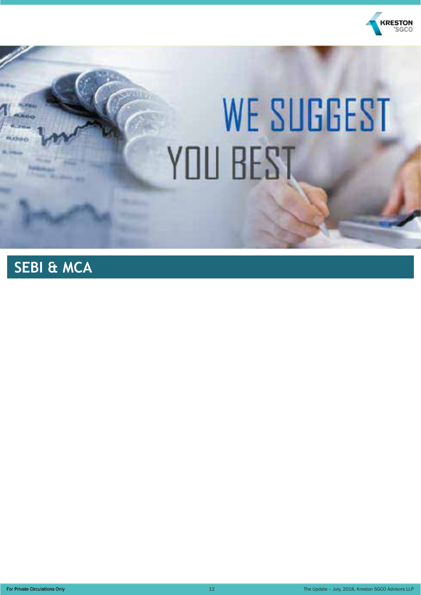

# **WE SUGGEST** YOU BEST

## **SEBI & MCA**

For Private Circulations Only 12

The Update – July, 2018, Kreston SGCO Advisors LLP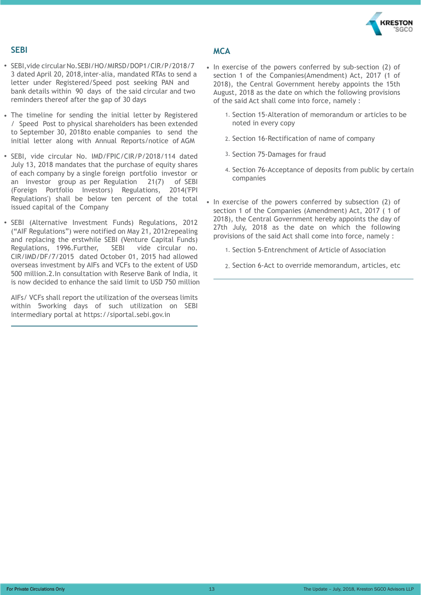

#### **SEBI**

- SEBI, vide circular No. SEBI/HO/MIRSD/DOP1/CIR/P/2018/7 3 dated April 20, 2018,inter-alia, mandated RTAs to send a letter under Registered/Speed post seeking PAN and bank details within 90 days of the said circular and two reminders thereof after the gap of 30 days
- The timeline for sending the initial letter by Registered / Speed Post to physical shareholders has been extended to September 30, 2018to enable companies to send the initial letter along with Annual Reports/notice of AGM
- SEBI, vide circular No. IMD/FPIC/CIR/P/2018/114 dated July 13, 2018 mandates that the purchase of equity shares of each company by a single foreign portfolio investor or an investor group as per Regulation 21(7) of SEBI (Foreign Portfolio Investors) Regulations, 2014('FPI Regulations') shall be below ten percent of the total issued capital of the Company
- SEBI (Alternative Investment Funds) Regulations, 2012 ("AIF Regulations") were notified on May 21, 2012repealing and replacing the erstwhile SEBI (Venture Capital Funds) Regulations, 1996.Further, SEBI vide circular no. CIR/IMD/DF/7/2015 dated October 01, 2015 had allowed overseas investment by AIFs and VCFs to the extent of USD 500 million.2.In consultation with Reserve Bank of India, it is now decided to enhance the said limit to USD 750 million

AIFs/ VCFs shall report the utilization of the overseas limits within 5working days of such utilization on SEBI intermediary portal at https://siportal.sebi.gov.in

#### **MCA**

- In exercise of the powers conferred by sub-section (2) of section 1 of the Companies(Amendment) Act, 2017 (1 of 2018), the Central Government hereby appoints the 15th August, 2018 as the date on which the following provisions of the said Act shall come into force, namely :
	- 1. Section 15-Alteration of memorandum or articles to be noted in every copy
	- 2. Section 16-Rectification of name of company
	- 3. Section 75-Damages for fraud
	- 4. Section 76-Acceptance of deposits from public by certain companies
- In exercise of the powers conferred by subsection (2) of section 1 of the Companies (Amendment) Act, 2017 ( 1 of 2018), the Central Government hereby appoints the day of 27th July, 2018 as the date on which the following provisions of the said Act shall come into force, namely :
	- 1. Section 5-Entrenchment of Article of Association
	- 2. Section 6-Act to override memorandum, articles, etc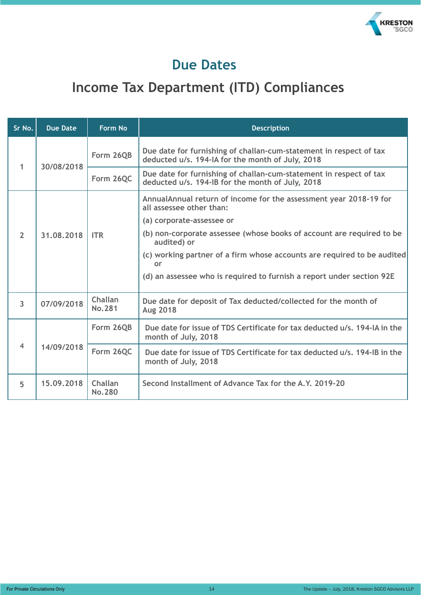

### **Due Dates**

## **Income Tax Department (ITD) Compliances**

| Sr No.         | <b>Due Date</b> | <b>Form No</b>           | <b>Description</b>                                                                                                     |                                                                                              |
|----------------|-----------------|--------------------------|------------------------------------------------------------------------------------------------------------------------|----------------------------------------------------------------------------------------------|
| 1              | 30/08/2018      | Form 26QB                | Due date for furnishing of challan-cum-statement in respect of tax<br>deducted u/s. 194-IA for the month of July, 2018 |                                                                                              |
|                |                 | Form 26QC                | Due date for furnishing of challan-cum-statement in respect of tax<br>deducted u/s. 194-IB for the month of July, 2018 |                                                                                              |
|                |                 |                          | AnnualAnnual return of income for the assessment year 2018-19 for<br>all assessee other than:                          |                                                                                              |
| $\overline{2}$ | 31.08.2018      | <b>ITR</b>               | (a) corporate-assessee or<br>(b) non-corporate assessee (whose books of account are required to be                     |                                                                                              |
|                |                 |                          |                                                                                                                        | audited) or<br>(c) working partner of a firm whose accounts are required to be audited<br>or |
|                |                 |                          | (d) an assessee who is required to furnish a report under section 92E                                                  |                                                                                              |
| $\overline{3}$ | 07/09/2018      | Challan<br><b>No.281</b> | Due date for deposit of Tax deducted/collected for the month of<br><b>Aug 2018</b>                                     |                                                                                              |
|                | 14/09/2018      | Form 26QB                | Due date for issue of TDS Certificate for tax deducted u/s, 194-IA in the<br>month of July, 2018                       |                                                                                              |
| $\overline{4}$ |                 | Form 26QC                | Due date for issue of TDS Certificate for tax deducted u/s, 194-IB in the<br>month of July, 2018                       |                                                                                              |
| 5              | 15.09.2018      | Challan<br><b>No.280</b> | Second Installment of Advance Tax for the A.Y. 2019-20                                                                 |                                                                                              |